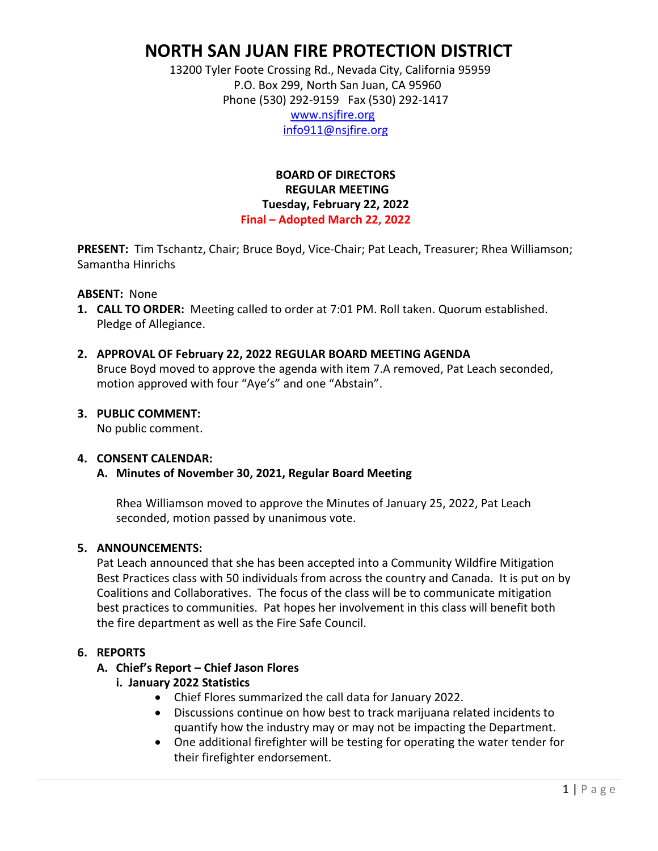# **NORTH SAN JUAN FIRE PROTECTION DISTRICT**

 13200 Tyler Foote Crossing Rd., Nevada City, California 95959 P.O. Box 299, North San Juan, CA 95960 Phone (530) 292-9159 Fax (530) 292-1417

 [www.nsjfire.org](http://www.nsjfire.org/) [info911@nsjfire.org](mailto:info911@nsjfire.org)

### **BOARD OF DIRECTORS REGULAR MEETING Tuesday, February 22, 2022 Final – Adopted March 22, 2022**

**PRESENT:** Tim Tschantz, Chair; Bruce Boyd, Vice-Chair; Pat Leach, Treasurer; Rhea Williamson; Samantha Hinrichs

#### **ABSENT:** None

- **1. CALL TO ORDER:** Meeting called to order at 7:01 PM. Roll taken. Quorum established. Pledge of Allegiance.
- **2. APPROVAL OF February 22, 2022 REGULAR BOARD MEETING AGENDA** Bruce Boyd moved to approve the agenda with item 7.A removed, Pat Leach seconded, motion approved with four "Aye's" and one "Abstain".

### **3. PUBLIC COMMENT:**

No public comment.

#### **4. CONSENT CALENDAR:**

### **A. Minutes of November 30, 2021, Regular Board Meeting**

Rhea Williamson moved to approve the Minutes of January 25, 2022, Pat Leach seconded, motion passed by unanimous vote.

#### **5. ANNOUNCEMENTS:**

Pat Leach announced that she has been accepted into a Community Wildfire Mitigation Best Practices class with 50 individuals from across the country and Canada. It is put on by Coalitions and Collaboratives. The focus of the class will be to communicate mitigation best practices to communities. Pat hopes her involvement in this class will benefit both the fire department as well as the Fire Safe Council.

### **6. REPORTS**

### **A. Chief's Report – Chief Jason Flores**

### **i. January 2022 Statistics**

- Chief Flores summarized the call data for January 2022.
- Discussions continue on how best to track marijuana related incidents to quantify how the industry may or may not be impacting the Department.
- One additional firefighter will be testing for operating the water tender for their firefighter endorsement.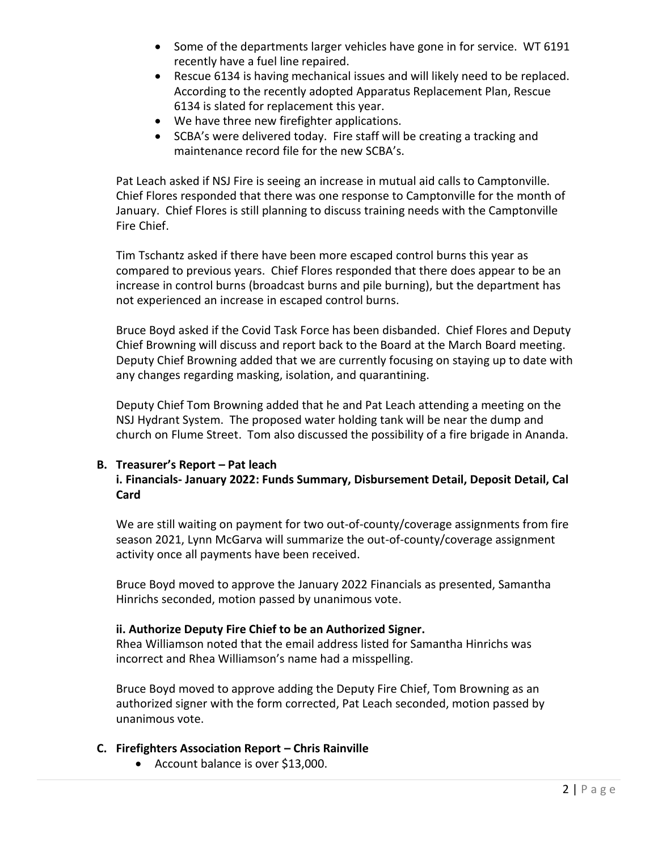- Some of the departments larger vehicles have gone in for service. WT 6191 recently have a fuel line repaired.
- Rescue 6134 is having mechanical issues and will likely need to be replaced. According to the recently adopted Apparatus Replacement Plan, Rescue 6134 is slated for replacement this year.
- We have three new firefighter applications.
- SCBA's were delivered today. Fire staff will be creating a tracking and maintenance record file for the new SCBA's.

Pat Leach asked if NSJ Fire is seeing an increase in mutual aid calls to Camptonville. Chief Flores responded that there was one response to Camptonville for the month of January. Chief Flores is still planning to discuss training needs with the Camptonville Fire Chief.

Tim Tschantz asked if there have been more escaped control burns this year as compared to previous years. Chief Flores responded that there does appear to be an increase in control burns (broadcast burns and pile burning), but the department has not experienced an increase in escaped control burns.

Bruce Boyd asked if the Covid Task Force has been disbanded. Chief Flores and Deputy Chief Browning will discuss and report back to the Board at the March Board meeting. Deputy Chief Browning added that we are currently focusing on staying up to date with any changes regarding masking, isolation, and quarantining.

Deputy Chief Tom Browning added that he and Pat Leach attending a meeting on the NSJ Hydrant System. The proposed water holding tank will be near the dump and church on Flume Street. Tom also discussed the possibility of a fire brigade in Ananda.

# **B. Treasurer's Report – Pat leach**

### **i. Financials- January 2022: Funds Summary, Disbursement Detail, Deposit Detail, Cal Card**

We are still waiting on payment for two out-of-county/coverage assignments from fire season 2021, Lynn McGarva will summarize the out-of-county/coverage assignment activity once all payments have been received.

Bruce Boyd moved to approve the January 2022 Financials as presented, Samantha Hinrichs seconded, motion passed by unanimous vote.

### **ii. Authorize Deputy Fire Chief to be an Authorized Signer.**

Rhea Williamson noted that the email address listed for Samantha Hinrichs was incorrect and Rhea Williamson's name had a misspelling.

Bruce Boyd moved to approve adding the Deputy Fire Chief, Tom Browning as an authorized signer with the form corrected, Pat Leach seconded, motion passed by unanimous vote.

### **C. Firefighters Association Report – Chris Rainville**

• Account balance is over \$13,000.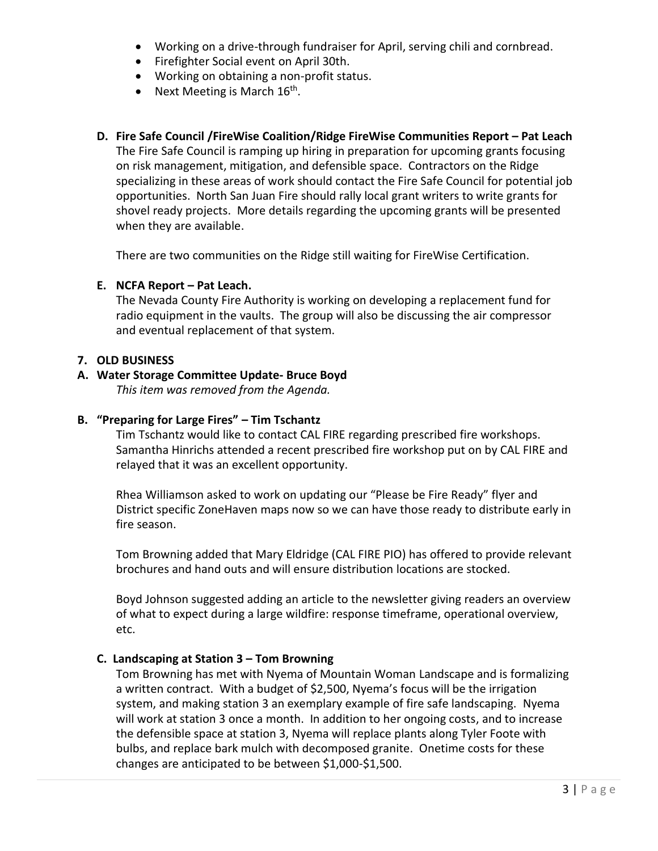- Working on a drive-through fundraiser for April, serving chili and cornbread.
- Firefighter Social event on April 30th.
- Working on obtaining a non-profit status.
- Next Meeting is March  $16^{\text{th}}$ .

# **D. Fire Safe Council /FireWise Coalition/Ridge FireWise Communities Report – Pat Leach**

The Fire Safe Council is ramping up hiring in preparation for upcoming grants focusing on risk management, mitigation, and defensible space. Contractors on the Ridge specializing in these areas of work should contact the Fire Safe Council for potential job opportunities. North San Juan Fire should rally local grant writers to write grants for shovel ready projects. More details regarding the upcoming grants will be presented when they are available.

There are two communities on the Ridge still waiting for FireWise Certification.

### **E. NCFA Report – Pat Leach.**

The Nevada County Fire Authority is working on developing a replacement fund for radio equipment in the vaults. The group will also be discussing the air compressor and eventual replacement of that system.

#### **7. OLD BUSINESS**

### **A. Water Storage Committee Update- Bruce Boyd**

*This item was removed from the Agenda.*

### **B. "Preparing for Large Fires" – Tim Tschantz**

Tim Tschantz would like to contact CAL FIRE regarding prescribed fire workshops. Samantha Hinrichs attended a recent prescribed fire workshop put on by CAL FIRE and relayed that it was an excellent opportunity.

Rhea Williamson asked to work on updating our "Please be Fire Ready" flyer and District specific ZoneHaven maps now so we can have those ready to distribute early in fire season.

Tom Browning added that Mary Eldridge (CAL FIRE PIO) has offered to provide relevant brochures and hand outs and will ensure distribution locations are stocked.

Boyd Johnson suggested adding an article to the newsletter giving readers an overview of what to expect during a large wildfire: response timeframe, operational overview, etc.

### **C. Landscaping at Station 3 – Tom Browning**

Tom Browning has met with Nyema of Mountain Woman Landscape and is formalizing a written contract. With a budget of \$2,500, Nyema's focus will be the irrigation system, and making station 3 an exemplary example of fire safe landscaping. Nyema will work at station 3 once a month. In addition to her ongoing costs, and to increase the defensible space at station 3, Nyema will replace plants along Tyler Foote with bulbs, and replace bark mulch with decomposed granite. Onetime costs for these changes are anticipated to be between \$1,000-\$1,500.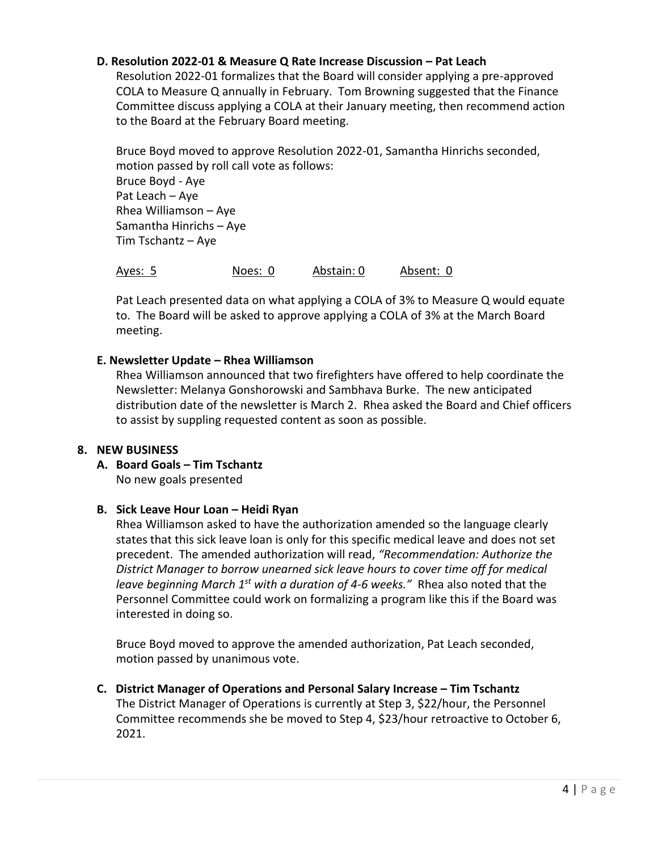### **D. Resolution 2022-01 & Measure Q Rate Increase Discussion – Pat Leach**

Resolution 2022-01 formalizes that the Board will consider applying a pre-approved COLA to Measure Q annually in February. Tom Browning suggested that the Finance Committee discuss applying a COLA at their January meeting, then recommend action to the Board at the February Board meeting.

Bruce Boyd moved to approve Resolution 2022-01, Samantha Hinrichs seconded, motion passed by roll call vote as follows: Bruce Boyd - Aye Pat Leach – Aye Rhea Williamson – Aye Samantha Hinrichs – Aye Tim Tschantz – Aye

Ayes: 5 Noes: 0 Abstain: 0 Absent: 0

Pat Leach presented data on what applying a COLA of 3% to Measure Q would equate to. The Board will be asked to approve applying a COLA of 3% at the March Board meeting.

### **E. Newsletter Update – Rhea Williamson**

Rhea Williamson announced that two firefighters have offered to help coordinate the Newsletter: Melanya Gonshorowski and Sambhava Burke. The new anticipated distribution date of the newsletter is March 2. Rhea asked the Board and Chief officers to assist by suppling requested content as soon as possible.

### **8. NEW BUSINESS**

**A. Board Goals – Tim Tschantz** No new goals presented

# **B. Sick Leave Hour Loan – Heidi Ryan**

Rhea Williamson asked to have the authorization amended so the language clearly states that this sick leave loan is only for this specific medical leave and does not set precedent. The amended authorization will read, *"Recommendation: Authorize the District Manager to borrow unearned sick leave hours to cover time off for medical leave beginning March 1st with a duration of 4-6 weeks."* Rhea also noted that the Personnel Committee could work on formalizing a program like this if the Board was interested in doing so.

Bruce Boyd moved to approve the amended authorization, Pat Leach seconded, motion passed by unanimous vote.

**C. District Manager of Operations and Personal Salary Increase – Tim Tschantz** The District Manager of Operations is currently at Step 3, \$22/hour, the Personnel Committee recommends she be moved to Step 4, \$23/hour retroactive to October 6, 2021.